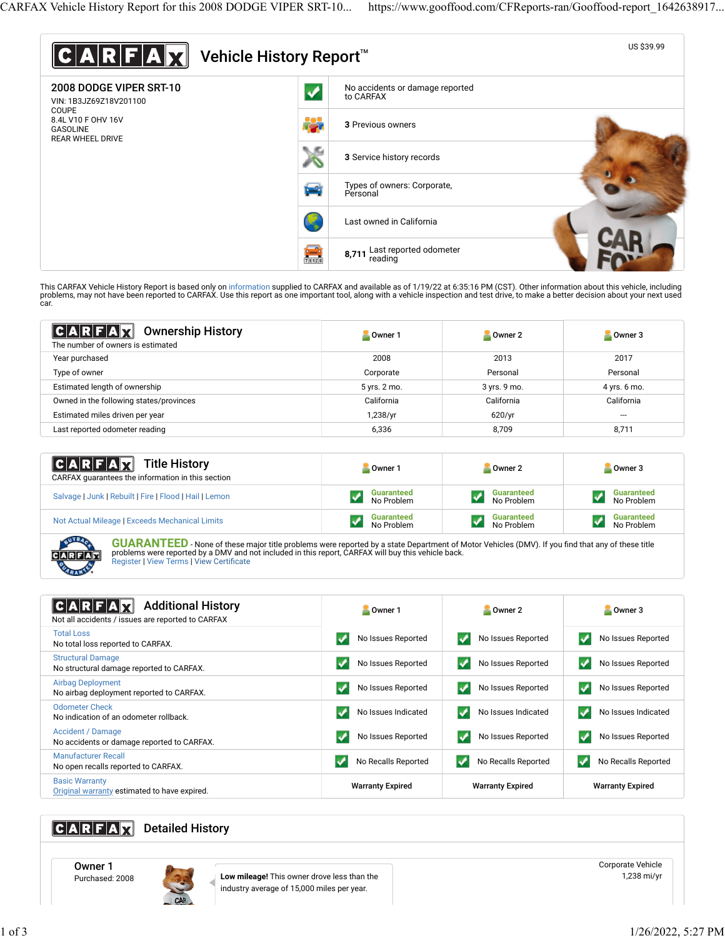

This CARFAX Vehicle History Report is based only on [information](http://www.carfax.com/company/vhr-data-sources) supplied to CARFAX and available as of 1/19/22 at 6:35:16 PM (CST). Other information about this vehicle, including<br>problems, may not have been reported to CA car.

| $ C A R F A \overline{M}$<br><b>Ownership History</b><br>The number of owners is estimated | Owner 1      | Owner 2      | Owner 3      |
|--------------------------------------------------------------------------------------------|--------------|--------------|--------------|
| Year purchased                                                                             | 2008         | 2013         | 2017         |
| Type of owner                                                                              | Corporate    | Personal     | Personal     |
| Estimated length of ownership                                                              | 5 yrs. 2 mo. | 3 yrs. 9 mo. | 4 yrs. 6 mo. |
| Owned in the following states/provinces                                                    | California   | California   | California   |
| Estimated miles driven per year                                                            | 1,238/yr     | 620/yr       | $- - -$      |
| Last reported odometer reading                                                             | 6,336        | 8,709        | 8,711        |

| $ C A R F A \overline{X}$<br><b>Title History</b><br>CARFAX guarantees the information in this section | Owner 1           | Owner 2           | Owner 3           |
|--------------------------------------------------------------------------------------------------------|-------------------|-------------------|-------------------|
| Salvage   Junk   Rebuilt   Fire   Flood   Hail   Lemon                                                 | <b>Guaranteed</b> | <b>Guaranteed</b> | <b>Guaranteed</b> |
|                                                                                                        | No Problem        | No Problem        | No Problem        |
| Not Actual Mileage   Exceeds Mechanical Limits                                                         | <b>Guaranteed</b> | <b>Guaranteed</b> | <b>Guaranteed</b> |
|                                                                                                        | No Problem        | No Problem        | No Problem        |

UYB. FAX

**GUARANTEED** - None of these major title problems were reported by a state Department of Motor Vehicles (DMV). If you find that any of these title problems were reported by a DMV and not included in this report, CARFAX will buy this vehicle back. [Register](https://www.carfax.com/Service/bbg) | [View Terms](http://www.carfaxonline.com/legal/bbgTerms) | [View Certi](https://www.gooffood.com/CFReports-ran/Gooffood-report_1642638917.html)ficate

| $ {\bf C} {\bf A} {\bf R} $<br><b>Additional History</b><br>Not all accidents / issues are reported to CARFAX | Owner 1                 | Owner 2                 | Owner 3                 |
|---------------------------------------------------------------------------------------------------------------|-------------------------|-------------------------|-------------------------|
| <b>Total Loss</b>                                                                                             | ✓                       | No Issues Reported      | No Issues Reported      |
| No total loss reported to CARFAX.                                                                             | No Issues Reported      | $\checkmark$            | $\checkmark$            |
| <b>Structural Damage</b>                                                                                      | ✓                       | No Issues Reported      | No Issues Reported      |
| No structural damage reported to CARFAX.                                                                      | No Issues Reported      | v                       | v                       |
| <b>Airbag Deployment</b>                                                                                      | V                       | No Issues Reported      | No Issues Reported      |
| No airbag deployment reported to CARFAX.                                                                      | No Issues Reported      | $\checkmark$            | v                       |
| <b>Odometer Check</b>                                                                                         | $\blacktriangledown$    | No Issues Indicated     | No Issues Indicated     |
| No indication of an odometer rollback.                                                                        | No Issues Indicated     | v                       | $\checkmark$            |
| Accident / Damage                                                                                             | V                       | No Issues Reported      | No Issues Reported      |
| No accidents or damage reported to CARFAX.                                                                    | No Issues Reported      | $\checkmark$            | $\checkmark$            |
| <b>Manufacturer Recall</b>                                                                                    | No Recalls Reported     | ✓                       | V                       |
| No open recalls reported to CARFAX.                                                                           | √                       | No Recalls Reported     | No Recalls Reported     |
| <b>Basic Warranty</b><br>Original warranty estimated to have expired.                                         | <b>Warranty Expired</b> | <b>Warranty Expired</b> | <b>Warranty Expired</b> |

# **CARFAX** Detailed History

Owner 1<br>Purchased: 2008



Low mileage! This owner drove less than the industry average of 15,000 miles per year.

Corporate Vehicle 1,238 mi/yr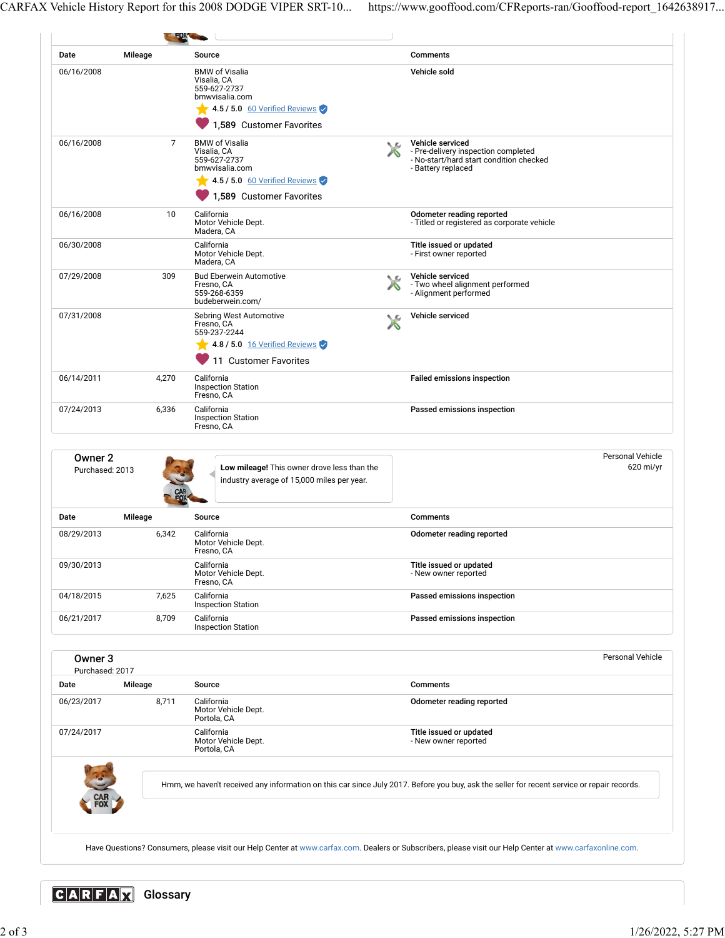CARFAX Vehicle History Report for this 2008 DODGE VIPER SRT-10... https://www.gooffood.com/CFReports-ran/Gooffood-report\_1642638917...

|                            | Mileage        | Source                                                                                                          |   | <b>Comments</b>                                                                                    |
|----------------------------|----------------|-----------------------------------------------------------------------------------------------------------------|---|----------------------------------------------------------------------------------------------------|
| 06/16/2008                 |                | <b>BMW</b> of Visalia<br>Visalia, CA<br>559-627-2737<br>bmwvisalia.com<br>$\sim$ 4.5 / 5.0 60 Verified Reviews  |   | Vehicle sold                                                                                       |
| 06/16/2008                 | $\overline{7}$ | 1,589 Customer Favorites<br><b>BMW</b> of Visalia<br>Visalia, CA<br>559-627-2737                                | ◟ | Vehicle serviced<br>- Pre-delivery inspection completed<br>- No-start/hard start condition checked |
|                            |                | bmwvisalia.com<br>$\sqrt{4.5/5.0}$ 60 Verified Reviews<br>1.589 Customer Favorites                              |   | - Battery replaced                                                                                 |
| 06/16/2008                 | 10             | California<br>Motor Vehicle Dept.<br>Madera, CA                                                                 |   | Odometer reading reported<br>- Titled or registered as corporate vehicle                           |
| 06/30/2008                 |                | California<br>Motor Vehicle Dept.<br>Madera, CA                                                                 |   | Title issued or updated<br>- First owner reported                                                  |
| 07/29/2008                 | 309            | <b>Bud Eberwein Automotive</b><br>Fresno. CA<br>559-268-6359<br>budeberwein.com/                                |   | Vehicle serviced<br>- Two wheel alignment performed<br>- Alignment performed                       |
| 07/31/2008                 |                | Sebring West Automotive<br>Fresno, CA<br>559-237-2244<br>4.8 / 5.0 16 Verified Reviews<br>11 Customer Favorites |   | Vehicle serviced                                                                                   |
| 06/14/2011                 | 4,270          | California<br><b>Inspection Station</b><br>Fresno, CA                                                           |   | <b>Failed emissions inspection</b>                                                                 |
| 07/24/2013                 | 6,336          | California<br><b>Inspection Station</b><br>Fresno, CA                                                           |   | Passed emissions inspection                                                                        |
| Owner 2<br>Purchased: 2013 |                | Low mileage! This owner drove less than the<br>industry average of 15,000 miles per year.                       |   | <b>Personal Vehicle</b><br>$620$ mi/yr                                                             |
| Date                       | Mileage        | Source                                                                                                          |   | Comments                                                                                           |
| 08/29/2013                 | 6,342          | California<br>Motor Vehicle Dept.<br>Fresno, CA                                                                 |   | Odometer reading reported                                                                          |
| 09/30/2013                 |                | California<br>Motor Vehicle Dept.<br>Fresno, CA                                                                 |   | Title issued or updated<br>- New owner reported                                                    |
| 04/18/2015                 | 7,625          | California<br><b>Inspection Station</b>                                                                         |   | Passed emissions inspection                                                                        |
| 06/21/2017                 | 8,709          | California<br><b>Inspection Station</b>                                                                         |   | Passed emissions inspection                                                                        |
|                            |                |                                                                                                                 |   | Personal Vehicle                                                                                   |
| Owner 3<br>Purchased: 2017 |                |                                                                                                                 |   |                                                                                                    |
| Date                       | Mileage        | Source                                                                                                          |   | <b>Comments</b>                                                                                    |
| 06/23/2017                 | 8,711          | California<br>Motor Vehicle Dept.<br>Portola, CA                                                                |   | Odometer reading reported                                                                          |
| 07/24/2017                 |                | California<br>Motor Vehicle Dept.<br>Portola, CA                                                                |   | Title issued or updated<br>- New owner reported                                                    |